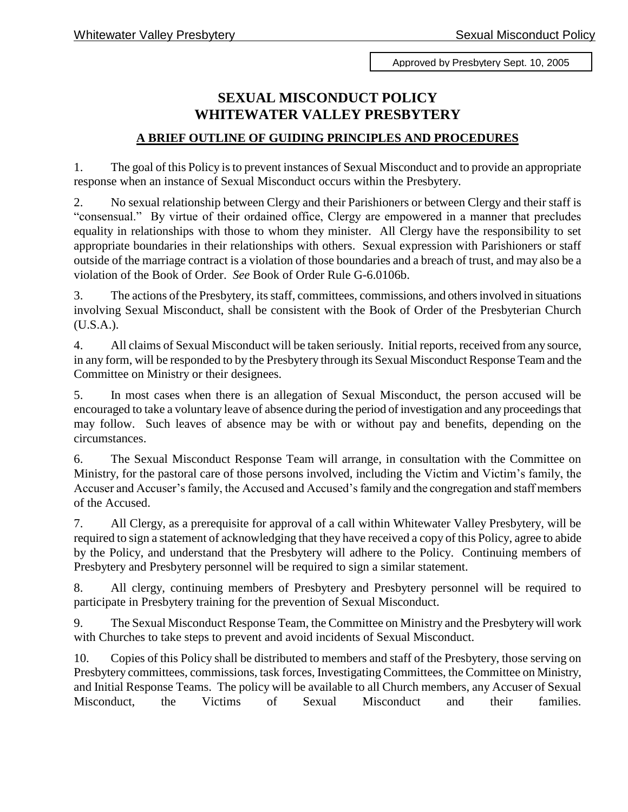Approved by Presbytery Sept. 10, 2005

## **SEXUAL MISCONDUCT POLICY WHITEWATER VALLEY PRESBYTERY**

## **A BRIEF OUTLINE OF GUIDING PRINCIPLES AND PROCEDURES**

1. The goal of this Policy is to prevent instances of Sexual Misconduct and to provide an appropriate response when an instance of Sexual Misconduct occurs within the Presbytery.

2. No sexual relationship between Clergy and their Parishioners or between Clergy and their staff is "consensual." By virtue of their ordained office, Clergy are empowered in a manner that precludes equality in relationships with those to whom they minister. All Clergy have the responsibility to set appropriate boundaries in their relationships with others. Sexual expression with Parishioners or staff outside of the marriage contract is a violation of those boundaries and a breach of trust, and may also be a violation of the Book of Order. *See* Book of Order Rule G-6.0106b.

3. The actions of the Presbytery, its staff, committees, commissions, and others involved in situations involving Sexual Misconduct, shall be consistent with the Book of Order of the Presbyterian Church (U.S.A.).

4. All claims of Sexual Misconduct will be taken seriously. Initial reports, received from any source, in any form, will be responded to by the Presbytery through its Sexual Misconduct Response Team and the Committee on Ministry or their designees.

5. In most cases when there is an allegation of Sexual Misconduct, the person accused will be encouraged to take a voluntary leave of absence during the period of investigation and any proceedings that may follow. Such leaves of absence may be with or without pay and benefits, depending on the circumstances.

6. The Sexual Misconduct Response Team will arrange, in consultation with the Committee on Ministry, for the pastoral care of those persons involved, including the Victim and Victim's family, the Accuser and Accuser's family, the Accused and Accused's family and the congregation and staff members of the Accused.

7. All Clergy, as a prerequisite for approval of a call within Whitewater Valley Presbytery, will be required to sign a statement of acknowledging that they have received a copy of this Policy, agree to abide by the Policy, and understand that the Presbytery will adhere to the Policy. Continuing members of Presbytery and Presbytery personnel will be required to sign a similar statement.

8. All clergy, continuing members of Presbytery and Presbytery personnel will be required to participate in Presbytery training for the prevention of Sexual Misconduct.

9. The Sexual Misconduct Response Team, the Committee on Ministry and the Presbytery will work with Churches to take steps to prevent and avoid incidents of Sexual Misconduct.

10. Copies of this Policy shall be distributed to members and staff of the Presbytery, those serving on Presbytery committees, commissions, task forces, Investigating Committees, the Committee on Ministry, and Initial Response Teams. The policy will be available to all Church members, any Accuser of Sexual Misconduct, the Victims of Sexual Misconduct and their families.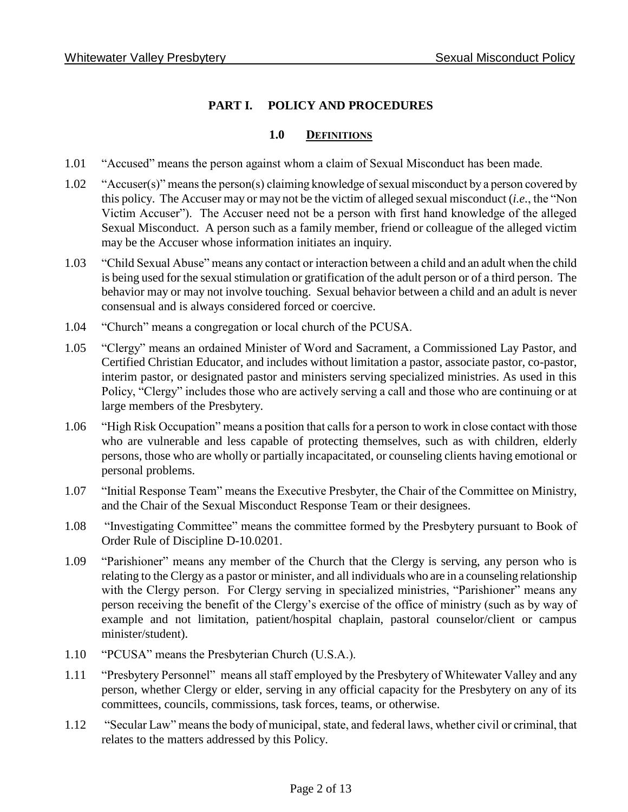## **PART I. POLICY AND PROCEDURES**

#### **1.0 DEFINITIONS**

- 1.01 "Accused" means the person against whom a claim of Sexual Misconduct has been made.
- 1.02 "Accuser(s)" means the person(s) claiming knowledge of sexual misconduct by a person covered by this policy. The Accuser may or may not be the victim of alleged sexual misconduct (*i.e.*, the "Non Victim Accuser"). The Accuser need not be a person with first hand knowledge of the alleged Sexual Misconduct. A person such as a family member, friend or colleague of the alleged victim may be the Accuser whose information initiates an inquiry.
- 1.03 "Child Sexual Abuse" means any contact or interaction between a child and an adult when the child is being used for the sexual stimulation or gratification of the adult person or of a third person. The behavior may or may not involve touching. Sexual behavior between a child and an adult is never consensual and is always considered forced or coercive.
- 1.04 "Church" means a congregation or local church of the PCUSA.
- 1.05 "Clergy" means an ordained Minister of Word and Sacrament, a Commissioned Lay Pastor, and Certified Christian Educator, and includes without limitation a pastor, associate pastor, co-pastor, interim pastor, or designated pastor and ministers serving specialized ministries. As used in this Policy, "Clergy" includes those who are actively serving a call and those who are continuing or at large members of the Presbytery.
- 1.06 "High Risk Occupation" means a position that calls for a person to work in close contact with those who are vulnerable and less capable of protecting themselves, such as with children, elderly persons, those who are wholly or partially incapacitated, or counseling clients having emotional or personal problems.
- 1.07 "Initial Response Team" means the Executive Presbyter, the Chair of the Committee on Ministry, and the Chair of the Sexual Misconduct Response Team or their designees.
- 1.08 "Investigating Committee" means the committee formed by the Presbytery pursuant to Book of Order Rule of Discipline D-10.0201.
- 1.09 "Parishioner" means any member of the Church that the Clergy is serving, any person who is relating to the Clergy as a pastor or minister, and all individuals who are in a counseling relationship with the Clergy person. For Clergy serving in specialized ministries, "Parishioner" means any person receiving the benefit of the Clergy's exercise of the office of ministry (such as by way of example and not limitation, patient/hospital chaplain, pastoral counselor/client or campus minister/student).
- 1.10 "PCUSA" means the Presbyterian Church (U.S.A.).
- 1.11 "Presbytery Personnel" means all staff employed by the Presbytery of Whitewater Valley and any person, whether Clergy or elder, serving in any official capacity for the Presbytery on any of its committees, councils, commissions, task forces, teams, or otherwise.
- 1.12 "Secular Law" means the body of municipal, state, and federal laws, whether civil or criminal, that relates to the matters addressed by this Policy.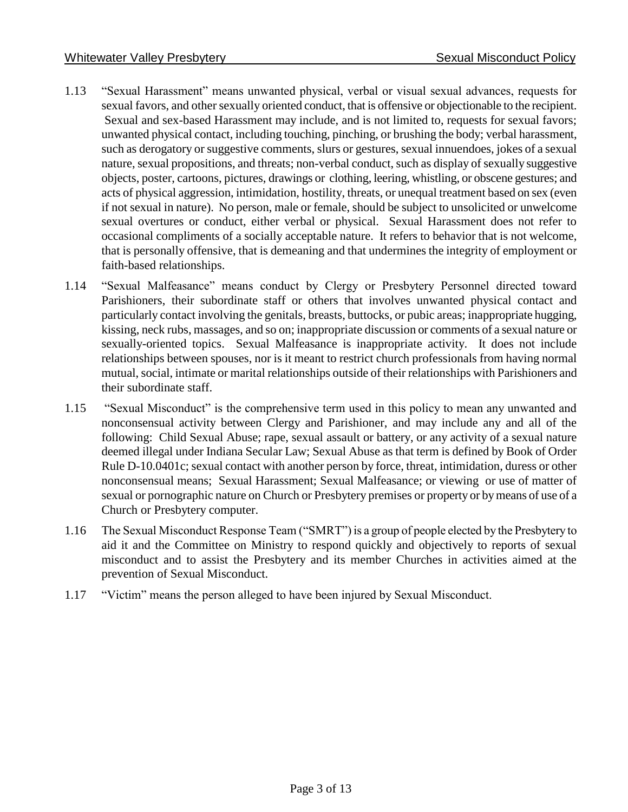- 1.13 "Sexual Harassment" means unwanted physical, verbal or visual sexual advances, requests for sexual favors, and other sexually oriented conduct, that is offensive or objectionable to the recipient. Sexual and sex-based Harassment may include, and is not limited to, requests for sexual favors; unwanted physical contact, including touching, pinching, or brushing the body; verbal harassment, such as derogatory or suggestive comments, slurs or gestures, sexual innuendoes, jokes of a sexual nature, sexual propositions, and threats; non-verbal conduct, such as display of sexually suggestive objects, poster, cartoons, pictures, drawings or clothing, leering, whistling, or obscene gestures; and acts of physical aggression, intimidation, hostility, threats, or unequal treatment based on sex (even if not sexual in nature). No person, male or female, should be subject to unsolicited or unwelcome sexual overtures or conduct, either verbal or physical. Sexual Harassment does not refer to occasional compliments of a socially acceptable nature. It refers to behavior that is not welcome, that is personally offensive, that is demeaning and that undermines the integrity of employment or faith-based relationships.
- 1.14 "Sexual Malfeasance" means conduct by Clergy or Presbytery Personnel directed toward Parishioners, their subordinate staff or others that involves unwanted physical contact and particularly contact involving the genitals, breasts, buttocks, or pubic areas; inappropriate hugging, kissing, neck rubs, massages, and so on; inappropriate discussion or comments of a sexual nature or sexually-oriented topics. Sexual Malfeasance is inappropriate activity. It does not include relationships between spouses, nor is it meant to restrict church professionals from having normal mutual, social, intimate or marital relationships outside of their relationships with Parishioners and their subordinate staff.
- 1.15 "Sexual Misconduct" is the comprehensive term used in this policy to mean any unwanted and nonconsensual activity between Clergy and Parishioner, and may include any and all of the following: Child Sexual Abuse; rape, sexual assault or battery, or any activity of a sexual nature deemed illegal under Indiana Secular Law; Sexual Abuse as that term is defined by Book of Order Rule D-10.0401c; sexual contact with another person by force, threat, intimidation, duress or other nonconsensual means; Sexual Harassment; Sexual Malfeasance; or viewing or use of matter of sexual or pornographic nature on Church or Presbytery premises or property or by means of use of a Church or Presbytery computer.
- 1.16 The Sexual Misconduct Response Team ("SMRT") is a group of people elected by the Presbytery to aid it and the Committee on Ministry to respond quickly and objectively to reports of sexual misconduct and to assist the Presbytery and its member Churches in activities aimed at the prevention of Sexual Misconduct.
- 1.17 "Victim" means the person alleged to have been injured by Sexual Misconduct.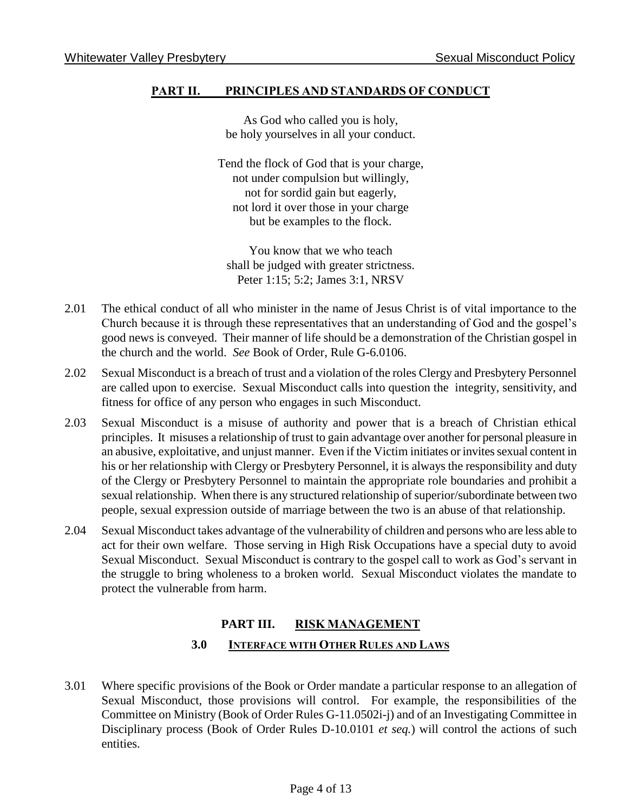### **PART II. PRINCIPLES AND STANDARDS OF CONDUCT**

As God who called you is holy, be holy yourselves in all your conduct.

Tend the flock of God that is your charge, not under compulsion but willingly, not for sordid gain but eagerly, not lord it over those in your charge but be examples to the flock.

You know that we who teach shall be judged with greater strictness. Peter 1:15; 5:2; James 3:1, NRSV

- 2.01 The ethical conduct of all who minister in the name of Jesus Christ is of vital importance to the Church because it is through these representatives that an understanding of God and the gospel's good news is conveyed. Their manner of life should be a demonstration of the Christian gospel in the church and the world. *See* Book of Order, Rule G-6.0106.
- 2.02 Sexual Misconduct is a breach of trust and a violation of the roles Clergy and Presbytery Personnel are called upon to exercise. Sexual Misconduct calls into question the integrity, sensitivity, and fitness for office of any person who engages in such Misconduct.
- 2.03 Sexual Misconduct is a misuse of authority and power that is a breach of Christian ethical principles. It misuses a relationship of trust to gain advantage over another for personal pleasure in an abusive, exploitative, and unjust manner. Even if the Victim initiates or invites sexual content in his or her relationship with Clergy or Presbytery Personnel, it is always the responsibility and duty of the Clergy or Presbytery Personnel to maintain the appropriate role boundaries and prohibit a sexual relationship. When there is any structured relationship of superior/subordinate between two people, sexual expression outside of marriage between the two is an abuse of that relationship.
- 2.04 Sexual Misconduct takes advantage of the vulnerability of children and persons who are less able to act for their own welfare. Those serving in High Risk Occupations have a special duty to avoid Sexual Misconduct. Sexual Misconduct is contrary to the gospel call to work as God's servant in the struggle to bring wholeness to a broken world. Sexual Misconduct violates the mandate to protect the vulnerable from harm.

# **PART III. RISK MANAGEMENT 3.0 INTERFACE WITH OTHER RULES AND LAWS**

3.01 Where specific provisions of the Book or Order mandate a particular response to an allegation of Sexual Misconduct, those provisions will control. For example, the responsibilities of the Committee on Ministry (Book of Order Rules G-11.0502i-j) and of an Investigating Committee in Disciplinary process (Book of Order Rules D-10.0101 *et seq.*) will control the actions of such entities.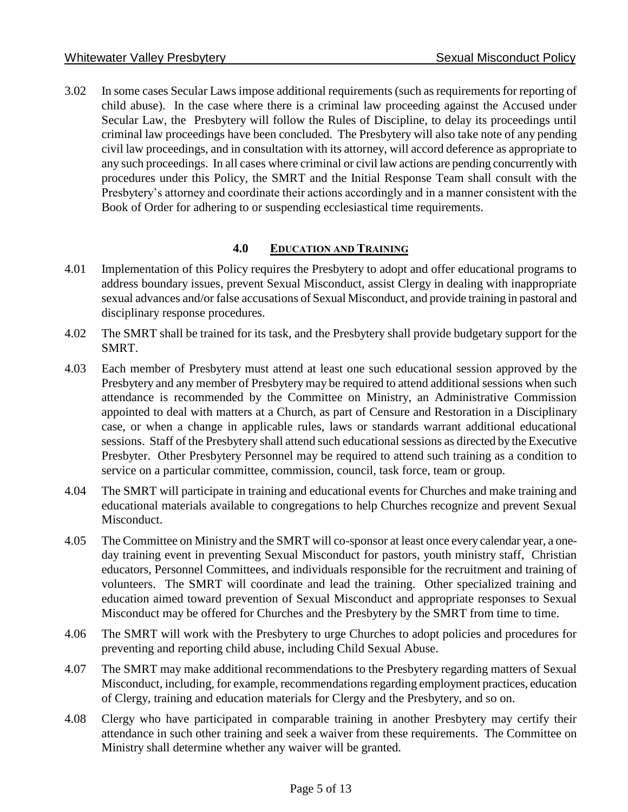3.02 In some cases Secular Laws impose additional requirements (such as requirements for reporting of child abuse). In the case where there is a criminal law proceeding against the Accused under Secular Law, the Presbytery will follow the Rules of Discipline, to delay its proceedings until criminal law proceedings have been concluded. The Presbytery will also take note of any pending civil law proceedings, and in consultation with its attorney, will accord deference as appropriate to any such proceedings. In all cases where criminal or civil law actions are pending concurrently with procedures under this Policy, the SMRT and the Initial Response Team shall consult with the Presbytery's attorney and coordinate their actions accordingly and in a manner consistent with the Book of Order for adhering to or suspending ecclesiastical time requirements.

#### **4.0 EDUCATION AND TRAINING**

- 4.01 Implementation of this Policy requires the Presbytery to adopt and offer educational programs to address boundary issues, prevent Sexual Misconduct, assist Clergy in dealing with inappropriate sexual advances and/or false accusations of Sexual Misconduct, and provide training in pastoral and disciplinary response procedures.
- 4.02 The SMRT shall be trained for its task, and the Presbytery shall provide budgetary support for the SMRT.
- 4.03 Each member of Presbytery must attend at least one such educational session approved by the Presbytery and any member of Presbytery may be required to attend additional sessions when such attendance is recommended by the Committee on Ministry, an Administrative Commission appointed to deal with matters at a Church, as part of Censure and Restoration in a Disciplinary case, or when a change in applicable rules, laws or standards warrant additional educational sessions. Staff of the Presbytery shall attend such educational sessions as directed by the Executive Presbyter. Other Presbytery Personnel may be required to attend such training as a condition to service on a particular committee, commission, council, task force, team or group.
- 4.04 The SMRT will participate in training and educational events for Churches and make training and educational materials available to congregations to help Churches recognize and prevent Sexual Misconduct.
- 4.05 The Committee on Ministry and the SMRT will co-sponsor at least once every calendar year, a oneday training event in preventing Sexual Misconduct for pastors, youth ministry staff, Christian educators, Personnel Committees, and individuals responsible for the recruitment and training of volunteers. The SMRT will coordinate and lead the training. Other specialized training and education aimed toward prevention of Sexual Misconduct and appropriate responses to Sexual Misconduct may be offered for Churches and the Presbytery by the SMRT from time to time.
- 4.06 The SMRT will work with the Presbytery to urge Churches to adopt policies and procedures for preventing and reporting child abuse, including Child Sexual Abuse.
- 4.07 The SMRT may make additional recommendations to the Presbytery regarding matters of Sexual Misconduct, including, for example, recommendations regarding employment practices, education of Clergy, training and education materials for Clergy and the Presbytery, and so on.
- 4.08 Clergy who have participated in comparable training in another Presbytery may certify their attendance in such other training and seek a waiver from these requirements. The Committee on Ministry shall determine whether any waiver will be granted.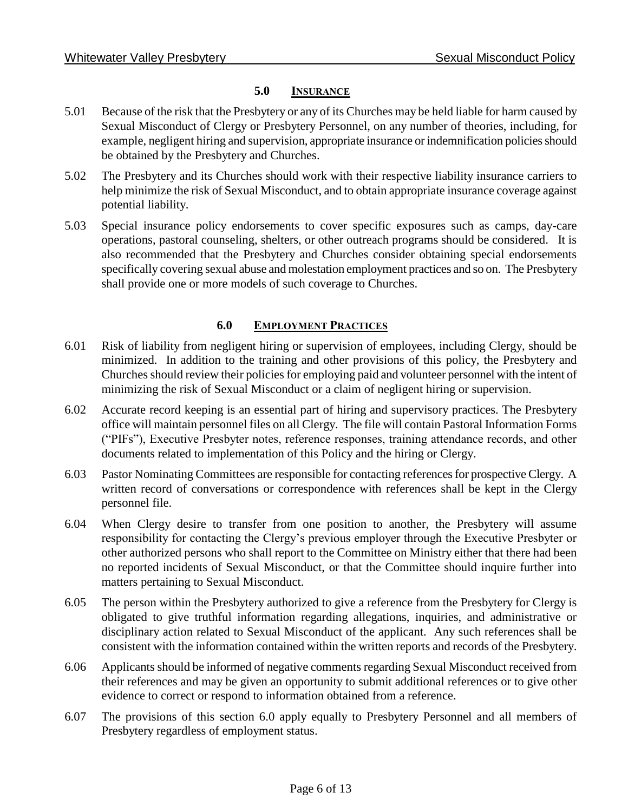#### **5.0 INSURANCE**

- 5.01 Because of the risk that the Presbytery or any of its Churches may be held liable for harm caused by Sexual Misconduct of Clergy or Presbytery Personnel, on any number of theories, including, for example, negligent hiring and supervision, appropriate insurance or indemnification policies should be obtained by the Presbytery and Churches.
- 5.02 The Presbytery and its Churches should work with their respective liability insurance carriers to help minimize the risk of Sexual Misconduct, and to obtain appropriate insurance coverage against potential liability.
- 5.03 Special insurance policy endorsements to cover specific exposures such as camps, day-care operations, pastoral counseling, shelters, or other outreach programs should be considered. It is also recommended that the Presbytery and Churches consider obtaining special endorsements specifically covering sexual abuse and molestation employment practices and so on. The Presbytery shall provide one or more models of such coverage to Churches.

## **6.0 EMPLOYMENT PRACTICES**

- 6.01 Risk of liability from negligent hiring or supervision of employees, including Clergy, should be minimized. In addition to the training and other provisions of this policy, the Presbytery and Churches should review their policies for employing paid and volunteer personnel with the intent of minimizing the risk of Sexual Misconduct or a claim of negligent hiring or supervision.
- 6.02 Accurate record keeping is an essential part of hiring and supervisory practices. The Presbytery office will maintain personnel files on all Clergy. The file will contain Pastoral Information Forms ("PIFs"), Executive Presbyter notes, reference responses, training attendance records, and other documents related to implementation of this Policy and the hiring or Clergy.
- 6.03 Pastor Nominating Committees are responsible for contacting references for prospective Clergy. A written record of conversations or correspondence with references shall be kept in the Clergy personnel file.
- 6.04 When Clergy desire to transfer from one position to another, the Presbytery will assume responsibility for contacting the Clergy's previous employer through the Executive Presbyter or other authorized persons who shall report to the Committee on Ministry either that there had been no reported incidents of Sexual Misconduct, or that the Committee should inquire further into matters pertaining to Sexual Misconduct.
- 6.05 The person within the Presbytery authorized to give a reference from the Presbytery for Clergy is obligated to give truthful information regarding allegations, inquiries, and administrative or disciplinary action related to Sexual Misconduct of the applicant. Any such references shall be consistent with the information contained within the written reports and records of the Presbytery.
- 6.06 Applicants should be informed of negative comments regarding Sexual Misconduct received from their references and may be given an opportunity to submit additional references or to give other evidence to correct or respond to information obtained from a reference.
- 6.07 The provisions of this section 6.0 apply equally to Presbytery Personnel and all members of Presbytery regardless of employment status.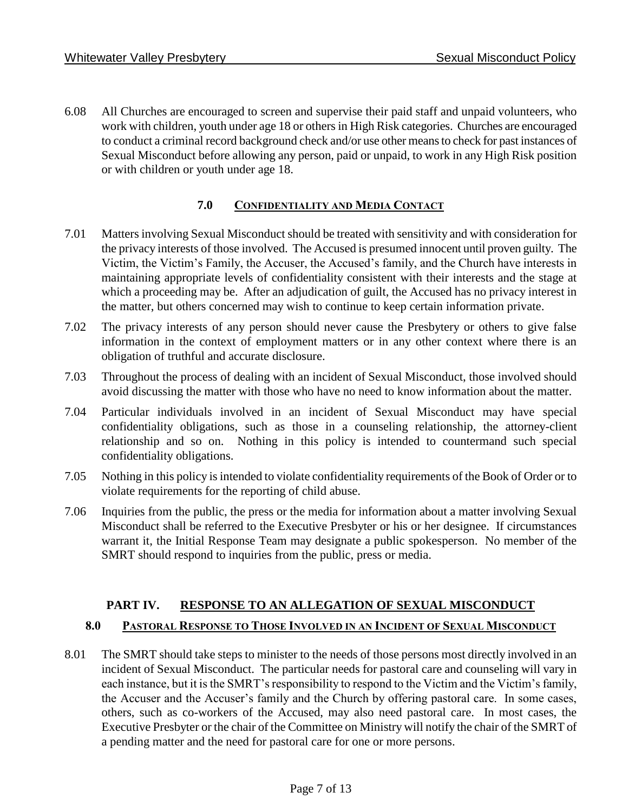6.08 All Churches are encouraged to screen and supervise their paid staff and unpaid volunteers, who work with children, youth under age 18 or others in High Risk categories. Churches are encouraged to conduct a criminal record background check and/or use other means to check for past instances of Sexual Misconduct before allowing any person, paid or unpaid, to work in any High Risk position or with children or youth under age 18.

## **7.0 CONFIDENTIALITY AND MEDIA CONTACT**

- 7.01 Matters involving Sexual Misconduct should be treated with sensitivity and with consideration for the privacy interests of those involved. The Accused is presumed innocent until proven guilty. The Victim, the Victim's Family, the Accuser, the Accused's family, and the Church have interests in maintaining appropriate levels of confidentiality consistent with their interests and the stage at which a proceeding may be. After an adjudication of guilt, the Accused has no privacy interest in the matter, but others concerned may wish to continue to keep certain information private.
- 7.02 The privacy interests of any person should never cause the Presbytery or others to give false information in the context of employment matters or in any other context where there is an obligation of truthful and accurate disclosure.
- 7.03 Throughout the process of dealing with an incident of Sexual Misconduct, those involved should avoid discussing the matter with those who have no need to know information about the matter.
- 7.04 Particular individuals involved in an incident of Sexual Misconduct may have special confidentiality obligations, such as those in a counseling relationship, the attorney-client relationship and so on. Nothing in this policy is intended to countermand such special confidentiality obligations.
- 7.05 Nothing in this policy is intended to violate confidentiality requirements of the Book of Order or to violate requirements for the reporting of child abuse.
- 7.06 Inquiries from the public, the press or the media for information about a matter involving Sexual Misconduct shall be referred to the Executive Presbyter or his or her designee. If circumstances warrant it, the Initial Response Team may designate a public spokesperson. No member of the SMRT should respond to inquiries from the public, press or media.

## **PART IV. RESPONSE TO AN ALLEGATION OF SEXUAL MISCONDUCT**

#### **8.0 PASTORAL RESPONSE TO THOSE INVOLVED IN AN INCIDENT OF SEXUAL MISCONDUCT**

8.01 The SMRT should take steps to minister to the needs of those persons most directly involved in an incident of Sexual Misconduct. The particular needs for pastoral care and counseling will vary in each instance, but it is the SMRT's responsibility to respond to the Victim and the Victim's family, the Accuser and the Accuser's family and the Church by offering pastoral care. In some cases, others, such as co-workers of the Accused, may also need pastoral care. In most cases, the Executive Presbyter or the chair of the Committee on Ministry will notify the chair of the SMRT of a pending matter and the need for pastoral care for one or more persons.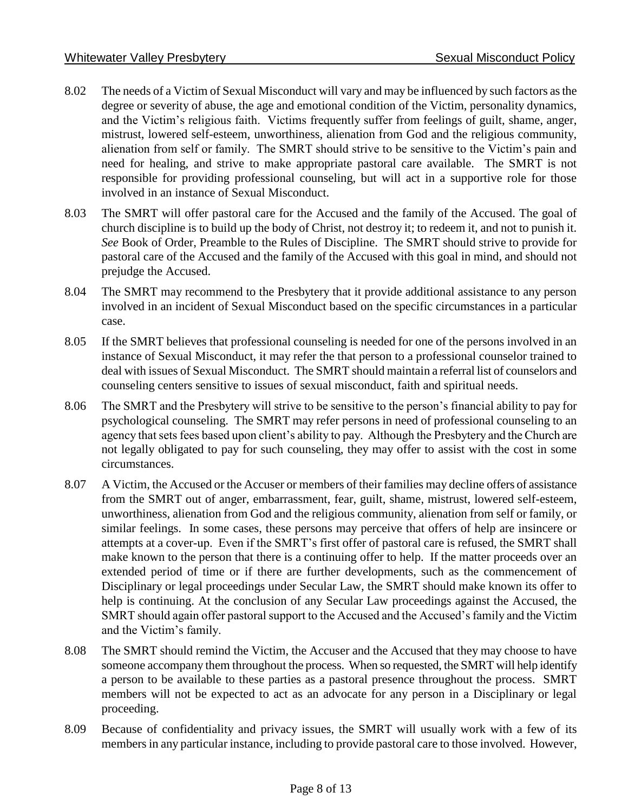- 8.02 The needs of a Victim of Sexual Misconduct will vary and may be influenced by such factors as the degree or severity of abuse, the age and emotional condition of the Victim, personality dynamics, and the Victim's religious faith. Victims frequently suffer from feelings of guilt, shame, anger, mistrust, lowered self-esteem, unworthiness, alienation from God and the religious community, alienation from self or family. The SMRT should strive to be sensitive to the Victim's pain and need for healing, and strive to make appropriate pastoral care available. The SMRT is not responsible for providing professional counseling, but will act in a supportive role for those involved in an instance of Sexual Misconduct.
- 8.03 The SMRT will offer pastoral care for the Accused and the family of the Accused. The goal of church discipline is to build up the body of Christ, not destroy it; to redeem it, and not to punish it. *See* Book of Order, Preamble to the Rules of Discipline. The SMRT should strive to provide for pastoral care of the Accused and the family of the Accused with this goal in mind, and should not prejudge the Accused.
- 8.04 The SMRT may recommend to the Presbytery that it provide additional assistance to any person involved in an incident of Sexual Misconduct based on the specific circumstances in a particular case.
- 8.05 If the SMRT believes that professional counseling is needed for one of the persons involved in an instance of Sexual Misconduct, it may refer the that person to a professional counselor trained to deal with issues of Sexual Misconduct. The SMRT should maintain a referral list of counselors and counseling centers sensitive to issues of sexual misconduct, faith and spiritual needs.
- 8.06 The SMRT and the Presbytery will strive to be sensitive to the person's financial ability to pay for psychological counseling. The SMRT may refer persons in need of professional counseling to an agency that sets fees based upon client's ability to pay. Although the Presbytery and the Church are not legally obligated to pay for such counseling, they may offer to assist with the cost in some circumstances.
- 8.07 A Victim, the Accused or the Accuser or members of their families may decline offers of assistance from the SMRT out of anger, embarrassment, fear, guilt, shame, mistrust, lowered self-esteem, unworthiness, alienation from God and the religious community, alienation from self or family, or similar feelings. In some cases, these persons may perceive that offers of help are insincere or attempts at a cover-up. Even if the SMRT's first offer of pastoral care is refused, the SMRT shall make known to the person that there is a continuing offer to help. If the matter proceeds over an extended period of time or if there are further developments, such as the commencement of Disciplinary or legal proceedings under Secular Law, the SMRT should make known its offer to help is continuing. At the conclusion of any Secular Law proceedings against the Accused, the SMRT should again offer pastoral support to the Accused and the Accused's family and the Victim and the Victim's family.
- 8.08 The SMRT should remind the Victim, the Accuser and the Accused that they may choose to have someone accompany them throughout the process. When so requested, the SMRT will help identify a person to be available to these parties as a pastoral presence throughout the process. SMRT members will not be expected to act as an advocate for any person in a Disciplinary or legal proceeding.
- 8.09 Because of confidentiality and privacy issues, the SMRT will usually work with a few of its members in any particular instance, including to provide pastoral care to those involved. However,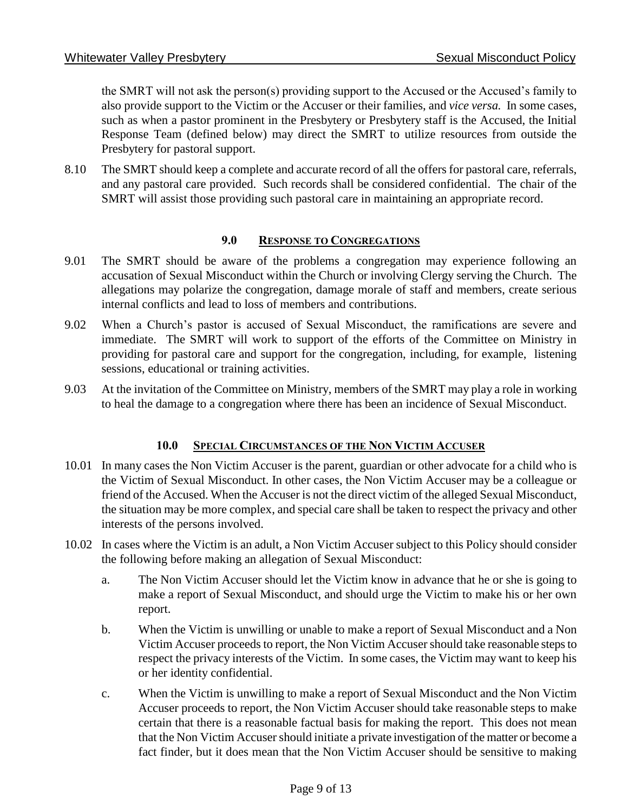the SMRT will not ask the person(s) providing support to the Accused or the Accused's family to also provide support to the Victim or the Accuser or their families, and *vice versa.* In some cases, such as when a pastor prominent in the Presbytery or Presbytery staff is the Accused, the Initial Response Team (defined below) may direct the SMRT to utilize resources from outside the Presbytery for pastoral support.

8.10 The SMRT should keep a complete and accurate record of all the offers for pastoral care, referrals, and any pastoral care provided. Such records shall be considered confidential. The chair of the SMRT will assist those providing such pastoral care in maintaining an appropriate record.

## **9.0 RESPONSE TO CONGREGATIONS**

- 9.01 The SMRT should be aware of the problems a congregation may experience following an accusation of Sexual Misconduct within the Church or involving Clergy serving the Church. The allegations may polarize the congregation, damage morale of staff and members, create serious internal conflicts and lead to loss of members and contributions.
- 9.02 When a Church's pastor is accused of Sexual Misconduct, the ramifications are severe and immediate. The SMRT will work to support of the efforts of the Committee on Ministry in providing for pastoral care and support for the congregation, including, for example, listening sessions, educational or training activities.
- 9.03 At the invitation of the Committee on Ministry, members of the SMRT may play a role in working to heal the damage to a congregation where there has been an incidence of Sexual Misconduct.

#### **10.0 SPECIAL CIRCUMSTANCES OF THE NON VICTIM ACCUSER**

- 10.01 In many cases the Non Victim Accuser is the parent, guardian or other advocate for a child who is the Victim of Sexual Misconduct. In other cases, the Non Victim Accuser may be a colleague or friend of the Accused. When the Accuser is not the direct victim of the alleged Sexual Misconduct, the situation may be more complex, and special care shall be taken to respect the privacy and other interests of the persons involved.
- 10.02 In cases where the Victim is an adult, a Non Victim Accuser subject to this Policy should consider the following before making an allegation of Sexual Misconduct:
	- a. The Non Victim Accuser should let the Victim know in advance that he or she is going to make a report of Sexual Misconduct, and should urge the Victim to make his or her own report.
	- b. When the Victim is unwilling or unable to make a report of Sexual Misconduct and a Non Victim Accuser proceeds to report, the Non Victim Accuser should take reasonable steps to respect the privacy interests of the Victim. In some cases, the Victim may want to keep his or her identity confidential.
	- c. When the Victim is unwilling to make a report of Sexual Misconduct and the Non Victim Accuser proceeds to report, the Non Victim Accuser should take reasonable steps to make certain that there is a reasonable factual basis for making the report. This does not mean that the Non Victim Accuser should initiate a private investigation of the matter or become a fact finder, but it does mean that the Non Victim Accuser should be sensitive to making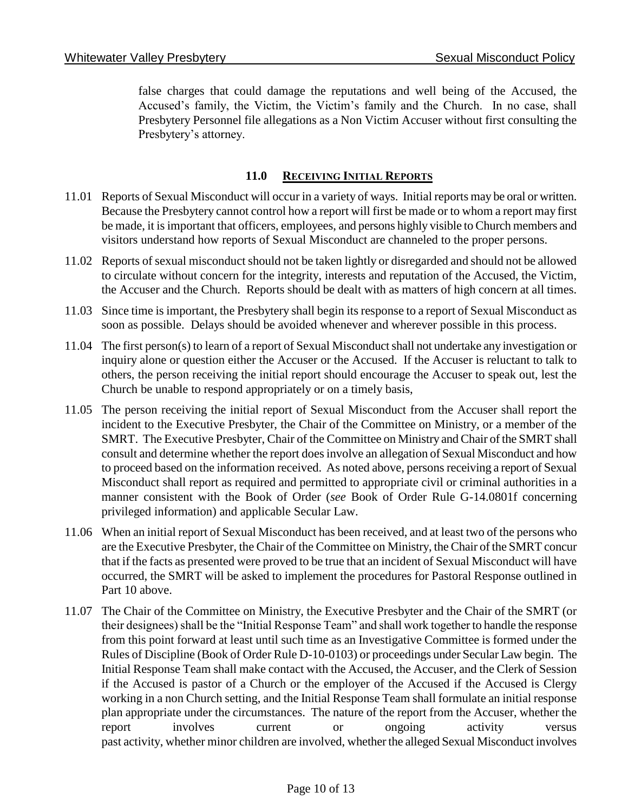false charges that could damage the reputations and well being of the Accused, the Accused's family, the Victim, the Victim's family and the Church. In no case, shall Presbytery Personnel file allegations as a Non Victim Accuser without first consulting the Presbytery's attorney.

## **11.0 RECEIVING INITIAL REPORTS**

- 11.01 Reports of Sexual Misconduct will occur in a variety of ways. Initial reports may be oral or written. Because the Presbytery cannot control how a report will first be made or to whom a report may first be made, it is important that officers, employees, and persons highly visible to Church members and visitors understand how reports of Sexual Misconduct are channeled to the proper persons.
- 11.02 Reports of sexual misconduct should not be taken lightly or disregarded and should not be allowed to circulate without concern for the integrity, interests and reputation of the Accused, the Victim, the Accuser and the Church. Reports should be dealt with as matters of high concern at all times.
- 11.03 Since time is important, the Presbytery shall begin its response to a report of Sexual Misconduct as soon as possible. Delays should be avoided whenever and wherever possible in this process.
- 11.04 The first person(s) to learn of a report of Sexual Misconduct shall not undertake any investigation or inquiry alone or question either the Accuser or the Accused. If the Accuser is reluctant to talk to others, the person receiving the initial report should encourage the Accuser to speak out, lest the Church be unable to respond appropriately or on a timely basis,
- 11.05 The person receiving the initial report of Sexual Misconduct from the Accuser shall report the incident to the Executive Presbyter, the Chair of the Committee on Ministry, or a member of the SMRT. The Executive Presbyter, Chair of the Committee on Ministry and Chair of the SMRT shall consult and determine whether the report does involve an allegation of Sexual Misconduct and how to proceed based on the information received. As noted above, persons receiving a report of Sexual Misconduct shall report as required and permitted to appropriate civil or criminal authorities in a manner consistent with the Book of Order (*see* Book of Order Rule G-14.0801f concerning privileged information) and applicable Secular Law.
- 11.06 When an initial report of Sexual Misconduct has been received, and at least two of the persons who are the Executive Presbyter, the Chair of the Committee on Ministry, the Chair of the SMRT concur that if the facts as presented were proved to be true that an incident of Sexual Misconduct will have occurred, the SMRT will be asked to implement the procedures for Pastoral Response outlined in Part 10 above.
- 11.07 The Chair of the Committee on Ministry, the Executive Presbyter and the Chair of the SMRT (or their designees) shall be the "Initial Response Team" and shall work together to handle the response from this point forward at least until such time as an Investigative Committee is formed under the Rules of Discipline (Book of Order Rule D-10-0103) or proceedings under Secular Law begin. The Initial Response Team shall make contact with the Accused, the Accuser, and the Clerk of Session if the Accused is pastor of a Church or the employer of the Accused if the Accused is Clergy working in a non Church setting, and the Initial Response Team shall formulate an initial response plan appropriate under the circumstances. The nature of the report from the Accuser, whether the report involves current or ongoing activity versus past activity, whether minor children are involved, whether the alleged Sexual Misconduct involves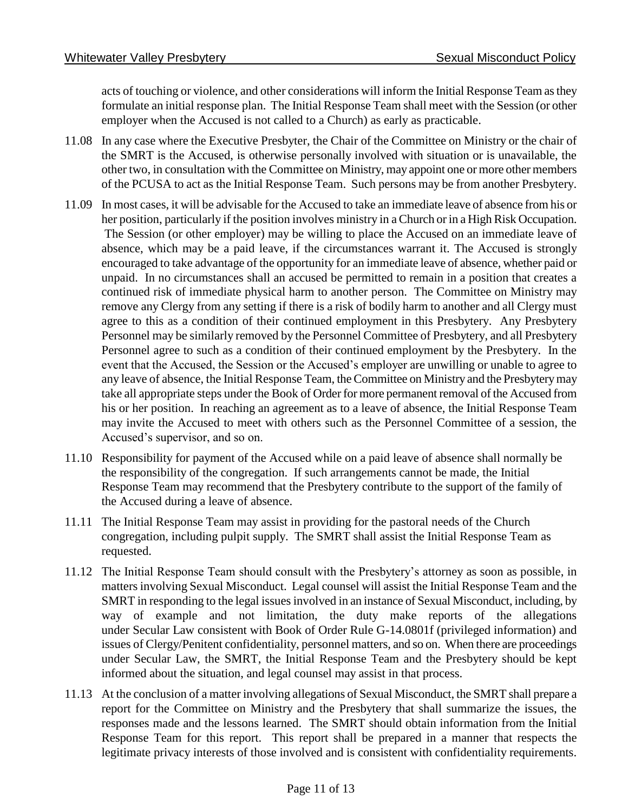acts of touching or violence, and other considerations will inform the Initial Response Team as they formulate an initial response plan. The Initial Response Team shall meet with the Session (or other employer when the Accused is not called to a Church) as early as practicable.

- 11.08 In any case where the Executive Presbyter, the Chair of the Committee on Ministry or the chair of the SMRT is the Accused, is otherwise personally involved with situation or is unavailable, the other two, in consultation with the Committee on Ministry, may appoint one or more other members of the PCUSA to act as the Initial Response Team. Such persons may be from another Presbytery.
- 11.09 In most cases, it will be advisable for the Accused to take an immediate leave of absence from his or her position, particularly if the position involves ministry in a Church or in a High Risk Occupation. The Session (or other employer) may be willing to place the Accused on an immediate leave of absence, which may be a paid leave, if the circumstances warrant it. The Accused is strongly encouraged to take advantage of the opportunity for an immediate leave of absence, whether paid or unpaid. In no circumstances shall an accused be permitted to remain in a position that creates a continued risk of immediate physical harm to another person. The Committee on Ministry may remove any Clergy from any setting if there is a risk of bodily harm to another and all Clergy must agree to this as a condition of their continued employment in this Presbytery. Any Presbytery Personnel may be similarly removed by the Personnel Committee of Presbytery, and all Presbytery Personnel agree to such as a condition of their continued employment by the Presbytery. In the event that the Accused, the Session or the Accused's employer are unwilling or unable to agree to any leave of absence, the Initial Response Team, the Committee on Ministry and the Presbytery may take all appropriate steps under the Book of Order for more permanent removal of the Accused from his or her position. In reaching an agreement as to a leave of absence, the Initial Response Team may invite the Accused to meet with others such as the Personnel Committee of a session, the Accused's supervisor, and so on.
- 11.10 Responsibility for payment of the Accused while on a paid leave of absence shall normally be the responsibility of the congregation. If such arrangements cannot be made, the Initial Response Team may recommend that the Presbytery contribute to the support of the family of the Accused during a leave of absence.
- 11.11 The Initial Response Team may assist in providing for the pastoral needs of the Church congregation, including pulpit supply. The SMRT shall assist the Initial Response Team as requested.
- 11.12 The Initial Response Team should consult with the Presbytery's attorney as soon as possible, in matters involving Sexual Misconduct. Legal counsel will assist the Initial Response Team and the SMRT in responding to the legal issues involved in an instance of Sexual Misconduct, including, by way of example and not limitation, the duty make reports of the allegations under Secular Law consistent with Book of Order Rule G-14.0801f (privileged information) and issues of Clergy/Penitent confidentiality, personnel matters, and so on. When there are proceedings under Secular Law, the SMRT, the Initial Response Team and the Presbytery should be kept informed about the situation, and legal counsel may assist in that process.
- 11.13 At the conclusion of a matter involving allegations of Sexual Misconduct, the SMRT shall prepare a report for the Committee on Ministry and the Presbytery that shall summarize the issues, the responses made and the lessons learned. The SMRT should obtain information from the Initial Response Team for this report. This report shall be prepared in a manner that respects the legitimate privacy interests of those involved and is consistent with confidentiality requirements.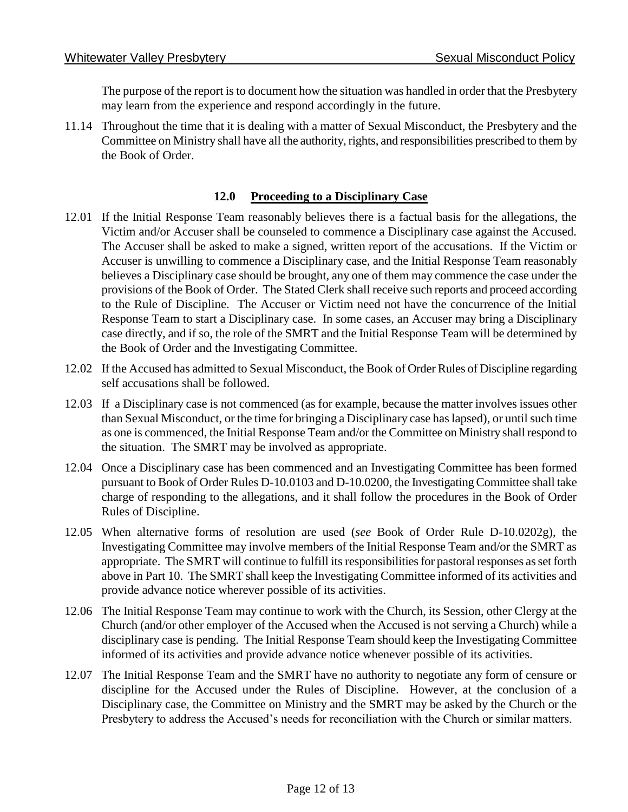The purpose of the report is to document how the situation was handled in order that the Presbytery may learn from the experience and respond accordingly in the future.

11.14 Throughout the time that it is dealing with a matter of Sexual Misconduct, the Presbytery and the Committee on Ministry shall have all the authority, rights, and responsibilities prescribed to them by the Book of Order.

### **12.0 Proceeding to a Disciplinary Case**

- 12.01 If the Initial Response Team reasonably believes there is a factual basis for the allegations, the Victim and/or Accuser shall be counseled to commence a Disciplinary case against the Accused. The Accuser shall be asked to make a signed, written report of the accusations. If the Victim or Accuser is unwilling to commence a Disciplinary case, and the Initial Response Team reasonably believes a Disciplinary case should be brought, any one of them may commence the case under the provisions of the Book of Order. The Stated Clerk shall receive such reports and proceed according to the Rule of Discipline. The Accuser or Victim need not have the concurrence of the Initial Response Team to start a Disciplinary case. In some cases, an Accuser may bring a Disciplinary case directly, and if so, the role of the SMRT and the Initial Response Team will be determined by the Book of Order and the Investigating Committee.
- 12.02 If the Accused has admitted to Sexual Misconduct, the Book of Order Rules of Discipline regarding self accusations shall be followed.
- 12.03 If a Disciplinary case is not commenced (as for example, because the matter involves issues other than Sexual Misconduct, or the time for bringing a Disciplinary case has lapsed), or until such time as one is commenced, the Initial Response Team and/or the Committee on Ministry shall respond to the situation. The SMRT may be involved as appropriate.
- 12.04 Once a Disciplinary case has been commenced and an Investigating Committee has been formed pursuant to Book of Order Rules D-10.0103 and D-10.0200, the Investigating Committee shall take charge of responding to the allegations, and it shall follow the procedures in the Book of Order Rules of Discipline.
- 12.05 When alternative forms of resolution are used (*see* Book of Order Rule D-10.0202g), the Investigating Committee may involve members of the Initial Response Team and/or the SMRT as appropriate. The SMRT will continue to fulfill its responsibilities for pastoral responses as set forth above in Part 10. The SMRT shall keep the Investigating Committee informed of its activities and provide advance notice wherever possible of its activities.
- 12.06 The Initial Response Team may continue to work with the Church, its Session, other Clergy at the Church (and/or other employer of the Accused when the Accused is not serving a Church) while a disciplinary case is pending. The Initial Response Team should keep the Investigating Committee informed of its activities and provide advance notice whenever possible of its activities.
- 12.07 The Initial Response Team and the SMRT have no authority to negotiate any form of censure or discipline for the Accused under the Rules of Discipline. However, at the conclusion of a Disciplinary case, the Committee on Ministry and the SMRT may be asked by the Church or the Presbytery to address the Accused's needs for reconciliation with the Church or similar matters.